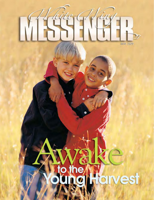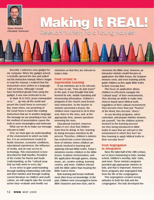

Shaun McKinley Cleveland, Tennessee

## Making It REAL<br>Relevant Ministry to a Young Harvest

Recently, I ordered a new gadget for my computer. When the gadget arrived, I excitedly opened the box and pulled out the instruction manual. When I began to read the manual, I realized that the instructions were written in a language I did not know. Although I would have benefited greatly from using the gadget, it was now irrelevant to me.

In Mark 16:15 (NLT), Jesus commanded us to ". . . go into all the world and preach the Good News to everyone." But, many times, our preaching of the Good News is much like reading instructions that are in another language. The message we are preaching is true, but the method of presentation causes the truth to seem meaningless and irrelevant.

What can we do to make our message relevant to kids?

First, we must gain an understanding of the environment in which our kids live. It is an environment created by family structure, economic conditions, educational experiences, the influence of media, and an easy access to technology. This environment is best described by Walt Mueller, President of the Center for Parent and Youth Understanding, as the "cultural soup that our kids swim in every day."

As we strive to gain understanding through building relationships with kids and their families and through reading current literature on children and youth culture, we will eagerly take the second action step—evaluate and modify our

ministries so that they are relevant to today's kids.

## **From Lecture to Experiential Learning**

If our ministries are to be relevant, we have to ask, "How do kids learn?" In the past, it was thought that kids learned by rote, simply repeating and memorizing information. Children's programs in the church used lecturestyle instruction. As the teacher or minister presented a lesson, the children were expected to sit in their seat, listen to the story, and, at the appropriate time, answer questions reviewing the story.

Educational research, however, makes it very clear that children learn best by doing. In fact, learning by doing increases retention by 80 percent. Therefore, children's ministry has evolved into a more interactive form of ministry where children are actively involved in learning and applying relevant Bible truths. Today's ministries involve children in the Bible lesson, Scripture memorization, and life application through games, drama, music, art, creative writing, learning centers, and more. Children interact with the Bible rather than hearing the Bible read to them.

Rote learning and lecture methods most often focus on knowledge. In the past, children were encouraged to know Bible characters and story facts, and to

memorize the Bible verse. However, an interactive ministry model focuses on application—the Bible lesson, the Scripture memory verse, and every learning activity guide children as they apply Bible truths to their everyday lives.

This focus on application allows children to effectively navigate the "cultural soup" of their environments. They develop an ability to make wise choices based upon biblical truth, regardless of their cultural environment. They become more than just "hearers" of the Word; they become "doers."

As you develop programs, select curriculum, and prepare ministry sessions, ask yourself, "Are the children actively involved in the learning process? Are they being introduced to Bible truths in ways that are relevant to the environment in which they live? Are they learning to apply biblical truths to their everyday lives?"

## **From Segregation to Integration**

Since the latter-half of the 20th century, we've been ministering to kids—Sunday school, children's worship, kids' clubs, and more. These ministry programs provided age-appropriate ministry to kids, and that is important. However, these programs also segregated kids from the life of the congregation.

This segregation created wrong attitudes in both the kids and the congregation. The kids developed the